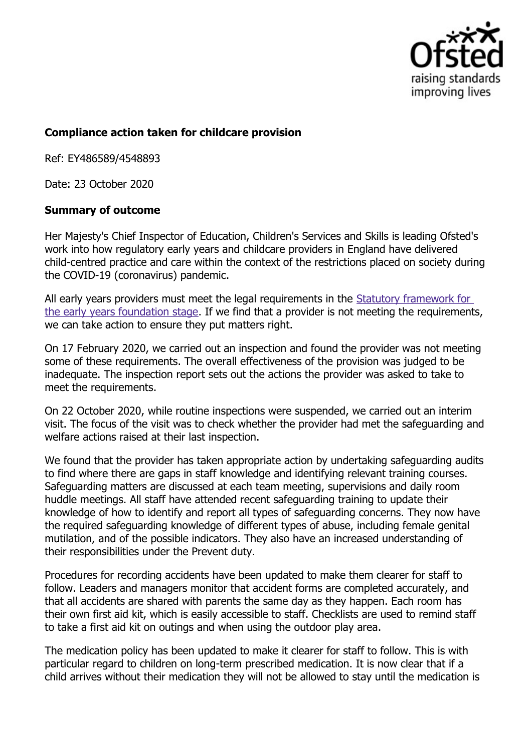

## **Compliance action taken for childcare provision**

Ref: EY486589/4548893

Date: 23 October 2020

## **Summary of outcome**

Her Majesty's Chief Inspector of Education, Children's Services and Skills is leading Ofsted's work into how regulatory early years and childcare providers in England have delivered child-centred practice and care within the context of the restrictions placed on society during the COVID-19 (coronavirus) pandemic.

All early years providers must meet the legal requirements in the Statutory framework for the early years foundation stage. If we find that a provider is not meeting the requirements, we can take action to ensure they put matters right.

On 17 February 2020, we carried out an inspection and found the provider was not meeting some of these requirements. The overall effectiveness of the provision was judged to be inadequate. The inspection report sets out the actions the provider was asked to take to meet the requirements.

On 22 October 2020, while routine inspections were suspended, we carried out an interim visit. The focus of the visit was to check whether the provider had met the safeguarding and welfare actions raised at their last inspection.

We found that the provider has taken appropriate action by undertaking safeguarding audits to find where there are gaps in staff knowledge and identifying relevant training courses. Safeguarding matters are discussed at each team meeting, supervisions and daily room huddle meetings. All staff have attended recent safeguarding training to update their knowledge of how to identify and report all types of safeguarding concerns. They now have the required safeguarding knowledge of different types of abuse, including female genital mutilation, and of the possible indicators. They also have an increased understanding of their responsibilities under the Prevent duty.

Procedures for recording accidents have been updated to make them clearer for staff to follow. Leaders and managers monitor that accident forms are completed accurately, and that all accidents are shared with parents the same day as they happen. Each room has their own first aid kit, which is easily accessible to staff. Checklists are used to remind staff to take a first aid kit on outings and when using the outdoor play area.

The medication policy has been updated to make it clearer for staff to follow. This is with particular regard to children on long-term prescribed medication. It is now clear that if a child arrives without their medication they will not be allowed to stay until the medication is